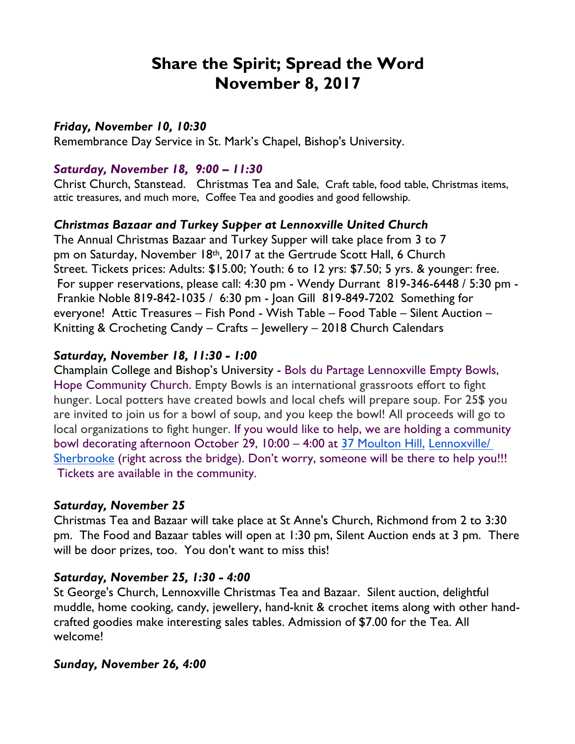# **Share the Spirit; Spread the Word November 8, 2017**

#### *Friday, November 10, 10:30*

Remembrance Day Service in St. Mark's Chapel, Bishop's University.

#### *Saturday, November 18, 9:00 – 11:30*

Christ Church, Stanstead. Christmas Tea and Sale, Craft table, food table, Christmas items, attic treasures, and much more, Coffee Tea and goodies and good fellowship.

## *Christmas Bazaar and Turkey Supper at Lennoxville United Church*

The Annual Christmas Bazaar and Turkey Supper will take place from 3 to 7 pm on Saturday, November 18th, 2017 at the Gertrude Scott Hall, 6 Church Street. Tickets prices: Adults: \$15.00; Youth: 6 to 12 yrs: \$7.50; 5 yrs. & younger: free. For supper reservations, please call: 4:30 pm - Wendy Durrant 819-346-6448 / 5:30 pm - Frankie Noble 819-842-1035 / 6:30 pm - Joan Gill 819-849-7202 Something for everyone! Attic Treasures – Fish Pond - Wish Table – Food Table – Silent Auction – Knitting & Crocheting Candy – Crafts – Jewellery – 2018 Church Calendars

## *Saturday, November 18, 11:30 - 1:00*

Champlain College and Bishop's University - Bols du Partage Lennoxville Empty Bowls, Hope Community Church. Empty Bowls is an international grassroots effort to fight hunger. Local potters have created bowls and local chefs will prepare soup. For 25\$ you are invited to join us for a bowl of soup, and you keep the bowl! All proceeds will go to local organizations to fight hunger. If you would like to help, we are holding a community bowl decorating afternoon October 29, 10:00 – 4:00 at 37 Moulton Hill, Lennoxville/ Sherbrooke (right across the bridge). Don't worry, someone will be there to help you!!! Tickets are available in the community.

#### *Saturday, November 25*

Christmas Tea and Bazaar will take place at St Anne's Church, Richmond from 2 to 3:30 pm. The Food and Bazaar tables will open at 1:30 pm, Silent Auction ends at 3 pm. There will be door prizes, too. You don't want to miss this!

## *Saturday, November 25, 1:30 - 4:00*

St George's Church, Lennoxville Christmas Tea and Bazaar. Silent auction, delightful muddle, home cooking, candy, jewellery, hand-knit & crochet items along with other handcrafted goodies make interesting sales tables. Admission of \$7.00 for the Tea. All welcome!

#### *Sunday, November 26, 4:00*